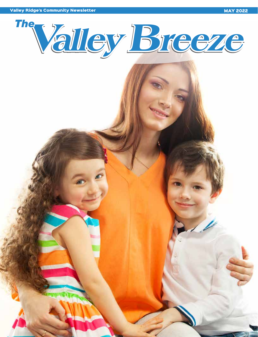Valley Ridge's Community Newsletter MAY 2022 and Community Newsletter MAY 2022

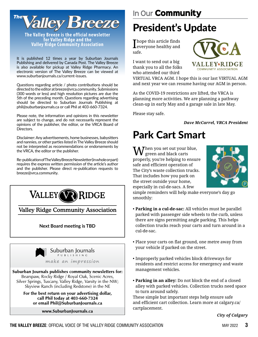

**The Valley Breeze is the official newsletter for Valley Ridge and the Valley Ridge Community Association**

It is published 12 times a year by Suburban Journals Publishing and delivered by Canada Post. The Valley Breeze is also available for pickup at Valley Ridge Pharmacy. An electronic version of The Valley Breeze can be viewed at www.suburbanjournals.ca/current-issues.

Questions regarding article / photo contributions should be directed to the editor at breeze@vrca.community. Submissions (300 words or less) and high resolution pictures are due the 5th of the preceding month. Questions regarding advertising should be directed to Suburban Journals Publishing at phil@suburbanjournals.ca or call Phil at 403-660-7324.

Please note, the information and opinions in this newsletter are subject to change, and do not necessarily represent the opinions of the publisher, the editor, or the VRCA Board of Directors.

Disclaimer: Any advertisements, home businesses, babysitters and nannies, or other parties listed in The Valley Breeze should not be interpreted as recommendations or endorsements by the VRCA, the editor or the publisher.

Re-publication of The Valley Breeze Newsletter (in whole or part) requires the express written permission of the article's author and the publisher. Please direct re-publication requests to breeze@vrca.community.



Valley Ridge Community Association

#### **Next Board meeting is TBD**



Suburban Journals publishes community newsletters for: Bearspaw, Rocky Ridge / Royal Oak, Scenic Acres, Silver Springs, Tuscany, Valley Ridge, Varsity in the NW; Skyview Ranch (including Redstone) in the NE

For the best return on your advertising dollar, call Phil today at 403-660-7324 or email Phil@SuburbanJournals.ca

www.SuburbanJournals.ca

# President's Update

 ${\Large \bf \small{I}}$  hope this article finds everyone healthy and safe.

I want to send out a big thank you to all the folks who attended our third



VIRTUAL VRCA AGM. I hope this is our last VIRTUAL AGM and next year we can resume having our AGM in person.

As the COVID-19 restrictions are lifted, the VRCA is planning more activities. We are planning a pathway clean-up in early May and a garage sale in late May.

Please stay safe.

*Dave McCarrel, VRCA President*

## Park Cart Smart

Then you set out your blue,  $\boldsymbol{V}$  green and black carts properly, you're helping to ensure safe and efficient operation of The City's waste collection trucks. That includes how you park on the street outside your home, especially in cul-de-sacs. A few



simple reminders will help make everyone's day go smoothly:

- **Parking in a cul-de-sac:** All vehicles must be parallel parked with passenger side wheels to the curb, unless there are signs permitting angle parking. This helps collection trucks reach your carts and turn around in a cul-de-sac.
- Place your carts on flat ground, one metre away from your vehicle if parked on the street.
- Improperly parked vehicles block driveways for residents and restrict access for emergency and waste management vehicles.
- **Parking in an alley:** Do not block the end of a closed alley with parked vehicles. Collection trucks need space to turn around safely.

These simple but important steps help ensure safe and efficient cart collection. Learn more at calgary.ca/ cartplacement.

*City of Calgary*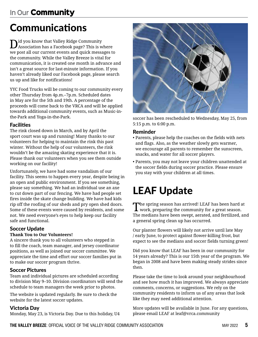### **In Our** Community

# Communications

 $\mathbf{D}^{\text{id}}$  you know that Valley Ridge Community<br>Association has a Facebook page? This is where we post all our current events and quick messages to the community. While the Valley Breeze is vital for communication, it is created one month in advance and isn't a great source for last-minute information. If you haven't already liked our Facebook page, please search us up and like for notifications!

YYC Food Trucks will be coming to our community every other Thursday from 4p.m.–7p.m. Scheduled dates in May are for the 5th and 19th. A percentage of the proceeds will come back to the VRCA and will be applied towards additional community events, such as Music-inthe-Park and Yoga-in-the-Park.

#### Facilities

The rink closed down in March, and by April the sport court was up and running! Many thanks to our volunteers for helping to maintain the rink this past winter. Without the help of our volunteers, the rink wouldn't be the amazing skating experience that it is. Please thank our volunteers when you see them outside working on our facility!

Unfortunately, we have had some vandalism of our facility. This seems to happen every year, despite being in an open and public environment. If you see something, please say something. We had an individual use an axe to cut down part of our fencing. We have had people set fires inside the skate change building. We have had kids rip off the roofing of our sheds and pry open shed doors. Some of these events were caused by residents, and some not. We need everyone's eyes to help keep our facility safe and functional.

#### Soccer Update

#### **Thank You to Our Volunteers!**

A sincere thank you to all volunteers who stepped in to fill the coach, team manager, and jersey coordinator positions, as well as joined our soccer committee. We appreciate the time and effort our soccer families put in to make our soccer program thrive.

#### Soccer Pictures

Team and individual pictures are scheduled according to division May 9–10. Division coordinators will send the schedule to team managers the week prior to photos.

The website is updated regularly. Be sure to check the website for the latest soccer updates.

#### Victoria Day

Monday, May 23, is Victoria Day. Due to this holiday, U4



soccer has been rescheduled to Wednesday, May 25, from 5:15 p.m. to 6:00 p.m.

#### Reminder

- Parents, please help the coaches on the fields with nets and flags. Also, as the weather slowly gets warmer, we encourage all parents to remember the sunscreen, snacks, and water for all soccer players.
- Parents, you may not leave your children unattended at the soccer fields during soccer practice. Please ensure you stay with your children at all times.

# LEAF Update

The spring season has arrived! LEAF has been hard at  $\boldsymbol{1}$  work, preparing the community for a great season. The medians have been swept, aerated, and fertilized, and a general spring clean up has occurred.

Our planter flowers will likely not arrive until late May / early June, to protect against flower-killing frost, but expect to see the medians and soccer fields turning green!

Did you know that LEAF has been in our community for 14 years already? This is our 15th year of the program. We began in 2008 and have been making steady strides since then.

Please take the time to look around your neighbourhood and see how much it has improved. We always appreciate comments, concerns, or suggestions. We rely on the community residents to inform us of any areas that look like they may need additional attention.

More updates will be available in June. For any questions, please email LEAF at leaf@vrca.community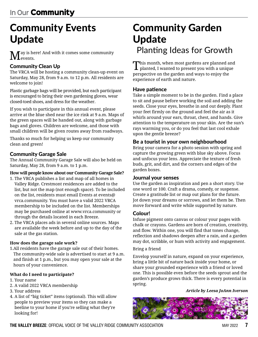# Community Events Update

Tay is here! And with it comes some community events.

#### Community Clean Up

The VRCA will be hosting a community clean-up event on Saturday, May 28, from 9 a.m. to 12 p.m. All residents are welcome to join!

Plastic garbage bags will be provided, but each participant is encouraged to bring their own gardening gloves, wear closed-toed shoes, and dress for the weather.

If you wish to participate in this annual event, please arrive at the blue shed near the ice rink at 9 a.m. Maps of the green spaces will be handed out, along with garbage bags and gloves. Children are welcome, and those with small children will be given routes away from roadways.

Thanks so much for helping us keep our community clean and green!

#### Community Garage Sale

The Annual Community Garage Sale will also be held on Saturday, May 28, from 9 a.m. to 1 p.m.

#### **How will people know about our Community Garage Sale?**

- 1. The VRCA publishes a list and map of all homes in Valley Ridge. Crestmont residences are added to the list, but not the map (not enough space). To be included on the list, residents must email Events at events@ vrca.community. You must have a valid 2022 VRCA membership to be included on the list. Memberships may be purchased online at www.vrca.community or through the details located in each Breeze.
- 2. The VRCA places ads in several online sources. Maps are available the week before and up to the day of the sale at the gas station.

#### **How does the garage sale work?**

1.All residents have the garage sale out of their homes. The community-wide sale is advertised to start at 9 a.m. and finish at 1 p.m., but you may open your sale at the hours of your convenience.

#### **What do I need to participate?**

- 1. Your name
- 2. A valid 2022 VRCA membership
- 3. Your address
- 4. A list of "big ticket" items (optional). This will allow people to preview your items so they can make a beeline to your home if you're selling what they're looking for!

## Community Garden Update Planting Ideas for Growth

This month, when most gardens are planned and planted, I wanted to present you with a unique perspective on the garden and ways to enjoy the experience of earth and nature.

#### Have patience

Take a simple moment to be in the garden. Find a place to sit and pause before working the soil and adding the seeds. Close your eyes, breathe in and out deeply. Plant your feet firmly on the ground and feel the air as it whirls around your ears, throat, chest, and hands. Give attention to the temperature on your skin. Are the sun's rays warming you, or do you feel that last cool exhale upon the gentle breeze?

#### Be a tourist in your own neighbourhood

Bring your camera for a photo session with spring and capture the growing green with blue sky above. Focus and unfocus your lens. Appreciate the texture of fresh buds, grit, and dirt, and the corners and edges of the garden boxes.

#### Journal your senses

Use the garden as inspiration and pen a short story. Use one word or 100. Craft a drama, comedy, or suspense. Create a gratitude list or map out plans for the future. Jot down your dreams or sorrows, and let them be. Then move forward and write while supported by nature.

#### Colour!

Infuse pigment onto canvas or colour your pages with chalk or crayons. Gardens are born of creation, creativity, and flow. Within one, you will find that tones change, reflection and shadows deepen after a rain, and a garden may dot, scribble, or hum with activity and engagement.

#### Bring a friend

Envelop yourself in nature, expand on your experience, bring a little bit of nature back inside your home, or share your grounded experience with a friend or loved one. This is possible even before the seeds sprout and the garden's produce grows thick. There is every potential in spring.

#### *Article by Leesa JoAnn Iverson*

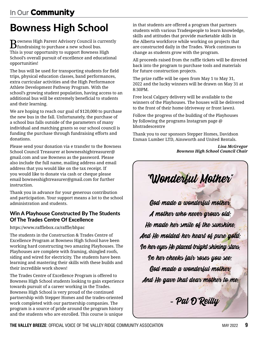# Bowness High School

Bowness High Parent Advisory Council is currently fundraising to purchase a new school bus. This is your opportunity to support Bowness High School's overall pursuit of excellence and educational opportunities!

The bus will be used for transporting students for field trips, physical education classes, band performances, extra curricular activities and the High Performance Athlete Development Pathway Program. With the school's growing student population, having access to an additional bus will be extremely beneficial to students and their learning.

We are hoping to reach our goal of \$120,000 to purchase the new bus in the fall. Unfortunately, the purchase of a school bus falls outside of the parameters of many individual and matching grants so our school council is funding the purchase through fundraising efforts and donations.

Please send your donation via e transfer to the Bowness School Council Treasurer at bownesshightreasurer@ gmail.com and use Bowness as the password. Please also include the full name, mailing address and email address that you would like on the tax receipt. If you would like to donate via cash or cheque please email bownesshightreasurer@gmail.com for further instruction.

Thank you in advance for your generous contribution and participation. Your support means a lot to the school administration and students.

#### Win A Playhouse Constructed By The Students Of The Trades Centre Of Excellence

https://www.rafflebox.ca/raffle/bhpac

The students in the Construction & Trades Centre of Excellence Program at Bowness High School have been working hard constructing two amazing Playhouses. The Playhouses are complete with framing, shingled roofs, siding and wired for electricity. The students have been learning and mastering their skills with these builds and their incredible work shows!

The Trades Centre of Excellence Program is offered to Bowness High School students looking to gain experience towards pursuit of a career working in the Trades. Bowness High School is very proud of the continued partnership with Stepper Homes and the trades-oriented work completed with our partnership companies. The program is a source of pride around the program history and the students who are enrolled. This course is unique

in that students are offered a program that partners students with various Tradespeople to learn knowledge, skills and attitudes that provide marketable skills in the Alberta workforce while working on projects that are constructed daily in the Trades. Work continues to change as students grow with the program.

All proceeds raised from the raffle tickets will be directed back into the program to purchase tools and materials for future construction projects.

The prize raffle will be open from May 1 to May 31, 2022 and the lucky winners will be drawn on May 31 at 8:30PM.

Free local Calgary delivery will be available to the winners of the Playhouses. The houses will be delivered to the front of their home (driveway or front lawn).

Follow the progress of the building of the Playhouses by following the programs Instagram page @ bhstradescentre

Thank you to our sponsors Stepper Homes, Davidson Enman Lumber LTD, Ainsworth and United Rentals.

> *Lisa McGregor Bowness High School Council Chair*

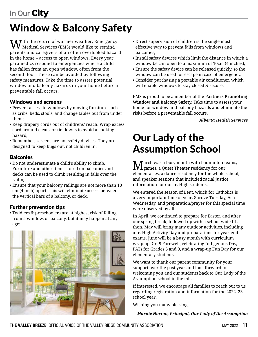# Window & Balcony Safety

With the return of warmer weather, Emergency Medical Services (EMS) would like to remind parents and caregivers of an often overlooked hazard in the home – access to open windows. Every year, paramedics respond to emergencies where a child has fallen from an open window, often from the second floor. These can be avoided by following safety measures. Take the time to assess potential window and balcony hazards in your home before a preventable fall occurs.

#### Windows and screens

- Prevent access to windows by moving furniture such as cribs, beds, stools, and change tables out from under them;
- Keep drapery cords out of childrens' reach. Wrap excess cord around cleats, or tie-downs to avoid a choking hazard;
- Remember, screens are not safety devices. They are designed to keep bugs out, not children in.

### **Balconies**

- Do not underestimate a child's ability to climb. Furniture and other items stored on balconies and decks can be used to climb resulting in falls over the railing;
- Ensure that your balcony railings are not more than 10 cm (4 inch) apart. This will eliminate access between the vertical bars of a balcony, or deck.

### Further prevention tips

• Toddlers & preschoolers are at highest risk of falling from a window, or balcony, but it may happen at any age;

![](_page_5_Picture_12.jpeg)

- Direct supervision of children is the single most effective way to prevent falls from windows and balconies;
- Install safety devices which limit the distance in which a window be can open to a maximum of 10cm (4 inches);
- Ensure the safety device can be released quickly, so the window can be used for escape in case of emergency.
- Consider purchasing a portable air conditioner, which will enable windows to stay closed & secure.

EMS is proud to be a member of the **Partners Promoting Window and Balcony Safety.** Take time to assess your home for window and balcony hazards and eliminate the risks before a preventable fall occurs.

*Alberta Health Services*

# Our Lady of the Assumption School

March was a busy month with badminton teams/ games, a Quest Theater residency for our elementaries, a dance residency for the whole school, and speaker sessions that included racial justice information for our Jr. High students.

We entered the season of Lent, which for Catholics is a very important time of year. Shrove Tuesday, Ash Wednesday, and preparation/prayer for this special time were observed by all.

In April, we continued to prepare for Easter, and after our spring break, followed up with a school-wide fit-athon. May will bring many outdoor activities, including a Jr. High Activity Day and preparations for year-end exams. June will be a busy month with curriculum wrap up, Gr. 9 Farewell, celebrating Indigenous Day, PATs for Grades 6 and 9, and a wrap-up Fun Day for our elementary students.

We want to thank our parent community for your support over the past year and look forward to welcoming you and our students back to Our Lady of the Assumption school in the fall.

If interested, we encourage all families to reach out to us regarding registration and information for the 2022–23 school year.

Wishing you many blessings,

*Marnie Horton, Principal, Our Lady of the Assumption*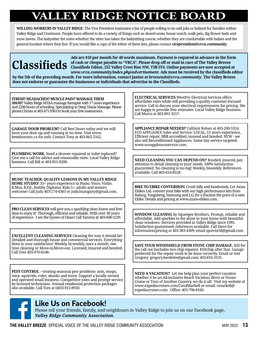# **VALLEY RIDGE NOTICE BOARD**

**WILLING WORKERS IN VALLEY RIDGE**: The Vice President maintains a list of people willing to do odd jobs or babysit for families within Valley Ridge and Crestmont. People have offered to do a variety of things such as shovel snow, house watch, walk pets, dig flower beds and mow lawns. The babysitter list notes whether the sitter has taken the babysitting course, whether they are comfortable with babies and the general location where they live. If you would like a copy of the either of these lists, please contact *vicepresident@vrca.community*.

**Ads are \$10 per month for 40 words maximum. Payment is required in advance in the form of cash or cheque payable to "VRCA". Please drop off or mail in care of The Valley Breeze Classifieds Editor, 252 Valley Crest Rise NW, T3B 5Y4. Online payments are now accepted at**  *www.vrca.community/index.php/advertisement***. Ads must be received by the classifieds editor** 

**by the 5th of the preceding month. For more information, contact Janine at** *breezeads@vrca.community***. The Valley Breeze does not endorse or guarantee the businesses or individuals that advertise in the Classifieds.**

#### **STRESS? HEADACHES? MUSCLE PAIN? MASSAGE THEM**

**AWAY!**Valley Ridge MTAA massage therapist with 17 years experience and 2200 hours of schooling. Specializing in Deep Tissue Massage. Please phone Christa at 403-471-9363 to book your free assessment.

**GARAGE DOOR PROBLEM?** Call Best Doors today and we will have your door up and running in no time. Visit www. bestdoorsinc.ca for info. Contact Tony at 403-862-2162.

**PLUMBING WORK.** Need a shower repaired or toilet replaced? Give me a call for advice and reasonable rates. Local Valley Ridge business. Call Bill at 403-851-8208.

**MUSIC TEACHER: QUALITY LESSONS IN MY VALLEY RIDGE HOME STUDIO!** 35+ years experience in Piano, Voice, Violin. B.Mus, B.Ed., Kodály Diploma. Kids 5+, adults and seniors welcome! Call Judy 403-274-4383 or judy.buzogany@gmail.com.

**PRO CLEAN SERVICES** will give you a sparkling clean home and free time to enjoy it! Thorough, efficient and reliable. With over 30 years of experience - I am the Queen of Clean! Call Tammy @ 403-608-5239.

**EXCELLENT CLEANING SERVICES** Cleaning the way it should be! Detailed and thorough house and commercial services. Everything done to your satisfaction! Weekly, bi-weekly, once a month, one time cleaning or Move-in/Move-out. Licensed, insured and bonded. Call Toni 403-470-6548.

**PEST CONTROL –** treating seasonal pest problems: ants, wasps, mice, squirrels, voles, skunks and more. Support a locally owned and operated small business. Competitive rates and prompt service by licensed technicians. Annual residential protection packages also available. Call Tom at (403) 815-8930.

#### **ELECTRICAL SERVICES** WestPro Electrical Services offers affordable rates while still providing a quality customer-focused service. Call to discuss your electrical requirements for pricing. We are happy to provide free estimates. Local Valley Ridge Business. Call Marco at 403-891-3257.

**APPLIANCE REPAIR NEEDED?** Call/text Rohan at 403-200-5324. ECO APPLIANCE Sales and Service. LOCAL, 15 years experience, Efficient repair, BBB accredited, insured and bonded. NEW - we also sell Reconditioned Appliances. Same day service targeted. www.ecoapplianceservice.com.

**NEED CLEANING YOU CAN DEPEND ON?** Bonded, insured, pay attention to detail cleaning to your needs. 100% Satisfaction guaranteed. No cleaning is too big! Weekly, biweekly. References available. Call 403-614-8528.

**BIKE TO EBIKE CONVERSION:** Crush hills and headwinds. Let Axxss Ebikes Ltd. convert your bike with our high performance kits from Bafang, Tongsheng, Samsung and LG; for a fraction the price of a new Ebike. Details and pricing at www.axxss-ebikes.com.

**WINDOW CLEANING** by Squeegee Brothers. Prompt, reliable and affordable. Add sparkles to the shine in your home with beautiful clean windows. Services provided in Valley Ridge since 1995. Satisfaction guaranteed, references available. Call Steve for information/pricing at 403-383-4309; email spotvin58@gmail.com.

**SAVE YOUR WINDSHIELD FROM STONE CHIP DAMAGE.** \$20 for the call out (includes two chip repairs). \$10/chip after that. Garage preferred for the repair work to be done correctly. Email or text Gregory: gregory.berdette@gmail.com; 403-816-3135.

**NEED A VACATION?** Let me help plan your perfect vacation whether it be an All-inclusive Beach Vacation, River or Ocean Cruise or Tour of Another Country, we do it all! Visit my website at www.expediacruises.com/CarolMarkell or email: cmarkell@ expediacruises.com. Office: 403-796-8160.

### Like Us on Facebook!

Please tell your friends, family, and neighbours in Valley Ridge to join us on our Facebook page, *Valley Ridge Community Association*.